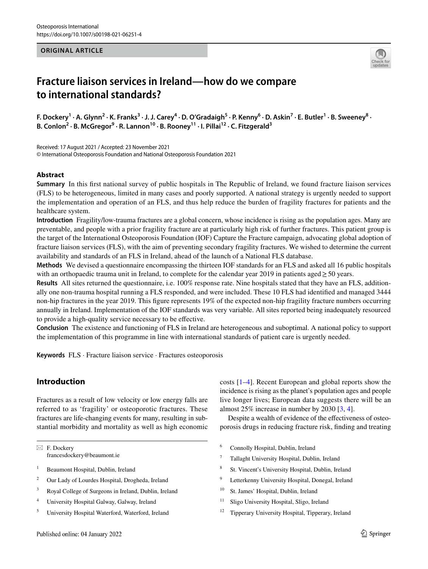## **ORIGINAL ARTICLE**



# **Fracture liaison services in Ireland—how do we compare to international standards?**

**F. Dockery<sup>1</sup> · A. Glynn2 · K. Franks3 · J. J. Carey<sup>4</sup> · D. O'Gradaigh5 · P. Kenny6 · D. Askin7 · E. Butler1 · B. Sweeney<sup>8</sup> ·**  B. Conlon<sup>2</sup> · B. McGregor<sup>9</sup> · R. Lannon<sup>10</sup> · B. Rooney<sup>11</sup> · I. Pillai<sup>12</sup> · C. Fitzgerald<sup>3</sup>

Received: 17 August 2021 / Accepted: 23 November 2021 © International Osteoporosis Foundation and National Osteoporosis Foundation 2021

## **Abstract**

**Summary** In this frst national survey of public hospitals in The Republic of Ireland, we found fracture liaison services (FLS) to be heterogeneous, limited in many cases and poorly supported. A national strategy is urgently needed to support the implementation and operation of an FLS, and thus help reduce the burden of fragility fractures for patients and the healthcare system.

**Introduction** Fragility/low-trauma fractures are a global concern, whose incidence is rising as the population ages. Many are preventable, and people with a prior fragility fracture are at particularly high risk of further fractures. This patient group is the target of the International Osteoporosis Foundation (IOF) Capture the Fracture campaign, advocating global adoption of fracture liaison services (FLS), with the aim of preventing secondary fragility fractures. We wished to determine the current availability and standards of an FLS in Ireland, ahead of the launch of a National FLS database.

**Methods** We devised a questionnaire encompassing the thirteen IOF standards for an FLS and asked all 16 public hospitals with an orthopaedic trauma unit in Ireland, to complete for the calendar year 2019 in patients aged≥50 years.

**Results** All sites returned the questionnaire, i.e. 100% response rate. Nine hospitals stated that they have an FLS, additionally one non-trauma hospital running a FLS responded, and were included. These 10 FLS had identifed and managed 3444 non-hip fractures in the year 2019. This fgure represents 19% of the expected non-hip fragility fracture numbers occurring annually in Ireland. Implementation of the IOF standards was very variable. All sites reported being inadequately resourced to provide a high-quality service necessary to be efective.

**Conclusion** The existence and functioning of FLS in Ireland are heterogeneous and suboptimal. A national policy to support the implementation of this programme in line with international standards of patient care is urgently needed.

**Keywords** FLS · Fracture liaison service · Fractures osteoporosis

# **Introduction**

Fractures as a result of low velocity or low energy falls are referred to as 'fragility' or osteoporotic fractures. These fractures are life-changing events for many, resulting in substantial morbidity and mortality as well as high economic

 $\boxtimes$  F. Dockery francesdockery@beaumont.ie

- <sup>1</sup> Beaumont Hospital, Dublin, Ireland
- <sup>2</sup> Our Lady of Lourdes Hospital, Drogheda, Ireland
- <sup>3</sup> Royal College of Surgeons in Ireland, Dublin, Ireland
- <sup>4</sup> University Hospital Galway, Galway, Ireland
- <sup>5</sup> University Hospital Waterford, Waterford, Ireland

costs [[1–](#page-6-0)[4](#page-6-1)]. Recent European and global reports show the incidence is rising as the planet's population ages and people live longer lives; European data suggests there will be an almost 25% increase in number by 2030 [[3](#page-6-2), [4](#page-6-1)].

Despite a wealth of evidence of the efectiveness of osteoporosis drugs in reducing fracture risk, fnding and treating

- <sup>6</sup> Connolly Hospital, Dublin, Ireland
- <sup>7</sup> Tallaght University Hospital, Dublin, Ireland
- <sup>8</sup> St. Vincent's University Hospital, Dublin, Ireland
- <sup>9</sup> Letterkenny University Hospital, Donegal, Ireland
- <sup>10</sup> St. James' Hospital, Dublin, Ireland
- <sup>11</sup> Sligo University Hospital, Sligo, Ireland
- <sup>12</sup> Tipperary University Hospital, Tipperary, Ireland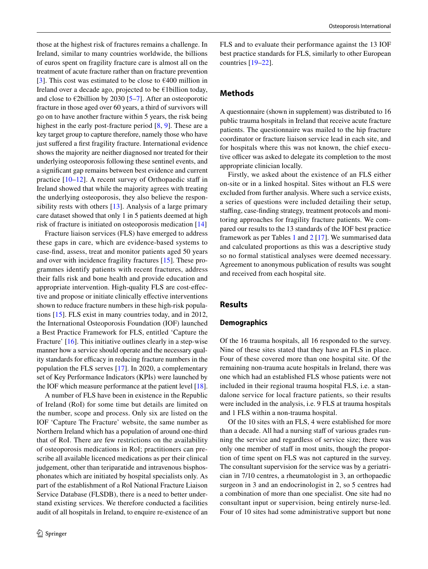those at the highest risk of fractures remains a challenge. In Ireland, similar to many countries worldwide, the billions of euros spent on fragility fracture care is almost all on the treatment of acute fracture rather than on fracture prevention [\[3](#page-6-2)]. This cost was estimated to be close to  $\epsilon$ 400 million in Ireland over a decade ago, projected to be €1billion today, and close to  $\epsilon$ 2billion by 2030 [[5–](#page-6-3)[7\]](#page-6-4). After an osteoporotic fracture in those aged over 60 years, a third of survivors will go on to have another fracture within 5 years, the risk being highest in the early post-fracture period [\[8](#page-6-5), [9\]](#page-6-6). These are a key target group to capture therefore, namely those who have just suffered a first fragility fracture. International evidence shows the majority are neither diagnosed nor treated for their underlying osteoporosis following these sentinel events, and a signifcant gap remains between best evidence and current practice  $[10-12]$  $[10-12]$  $[10-12]$ . A recent survey of Orthopaedic staff in Ireland showed that while the majority agrees with treating the underlying osteoporosis, they also believe the responsibility rests with others [[13\]](#page-6-9). Analysis of a large primary care dataset showed that only 1 in 5 patients deemed at high risk of fracture is initiated on osteoporosis medication [[14\]](#page-6-10)

Fracture liaison services (FLS) have emerged to address these gaps in care, which are evidence-based systems to case-fnd, assess, treat and monitor patients aged 50 years and over with incidence fragility fractures [[15](#page-6-11)]. These programmes identify patients with recent fractures, address their falls risk and bone health and provide education and appropriate intervention. High-quality FLS are cost-efective and propose or initiate clinically efective interventions shown to reduce fracture numbers in these high-risk populations [[15\]](#page-6-11). FLS exist in many countries today, and in 2012, the International Osteoporosis Foundation (IOF) launched a Best Practice Framework for FLS, entitled 'Capture the Fracture' [[16\]](#page-6-12). This initiative outlines clearly in a step-wise manner how a service should operate and the necessary quality standards for efficacy in reducing fracture numbers in the population the FLS serves [[17\]](#page-6-13). In 2020, a complementary set of Key Performance Indicators (KPIs) were launched by the IOF which measure performance at the patient level [\[18](#page-6-14)].

A number of FLS have been in existence in the Republic of Ireland (RoI) for some time but details are limited on the number, scope and process. Only six are listed on the IOF 'Capture The Fracture' website, the same number as Northern Ireland which has a population of around one-third that of RoI. There are few restrictions on the availability of osteoporosis medications in RoI; practitioners can prescribe all available licenced medications as per their clinical judgement, other than teriparatide and intravenous bisphosphonates which are initiated by hospital specialists only. As part of the establishment of a RoI National Fracture Liaison Service Database (FLSDB), there is a need to better understand existing services. We therefore conducted a facilities audit of all hospitals in Ireland, to enquire re-existence of an FLS and to evaluate their performance against the 13 IOF best practice standards for FLS, similarly to other European countries [\[19](#page-6-15)[–22](#page-7-0)].

# **Methods**

A questionnaire (shown in supplement) was distributed to 16 public trauma hospitals in Ireland that receive acute fracture patients. The questionnaire was mailed to the hip fracture coordinator or fracture liaison service lead in each site, and for hospitals where this was not known, the chief executive officer was asked to delegate its completion to the most appropriate clinician locally.

Firstly, we asked about the existence of an FLS either on-site or in a linked hospital. Sites without an FLS were excluded from further analysis. Where such a service exists, a series of questions were included detailing their setup, staffing, case-finding strategy, treatment protocols and monitoring approaches for fragility fracture patients. We compared our results to the 13 standards of the IOF best practice framework as per Tables [1](#page-2-0) and [2](#page-2-1) [[17](#page-6-13)]. We summarised data and calculated proportions as this was a descriptive study so no formal statistical analyses were deemed necessary. Agreement to anonymous publication of results was sought and received from each hospital site.

# **Results**

## **Demographics**

Of the 16 trauma hospitals, all 16 responded to the survey. Nine of these sites stated that they have an FLS in place. Four of these covered more than one hospital site. Of the remaining non-trauma acute hospitals in Ireland, there was one which had an established FLS whose patients were not included in their regional trauma hospital FLS, i.e. a standalone service for local fracture patients, so their results were included in the analysis, i.e. 9 FLS at trauma hospitals and 1 FLS within a non-trauma hospital.

Of the 10 sites with an FLS, 4 were established for more than a decade. All had a nursing staff of various grades running the service and regardless of service size; there was only one member of staff in most units, though the proportion of time spent on FLS was not captured in the survey. The consultant supervision for the service was by a geriatrician in 7/10 centres, a rheumatologist in 3, an orthopaedic surgeon in 3 and an endocrinologist in 2, so 5 centres had a combination of more than one specialist. One site had no consultant input or supervision, being entirely nurse-led. Four of 10 sites had some administrative support but none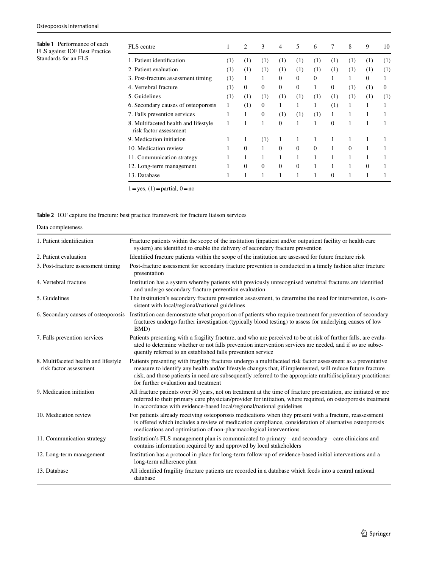<span id="page-2-0"></span>**Table 1** Performance of each FLS against IOF Best Practice Standards for an FLS

| FLS centre                                                     | 1   | $\overline{c}$ | 3            | 4        | 5        | 6        | 7            | 8        | 9        | 10       |
|----------------------------------------------------------------|-----|----------------|--------------|----------|----------|----------|--------------|----------|----------|----------|
| 1. Patient identification                                      | (1) | (1)            | (1)          | (1)      | (1)      | (1)      | (1)          | (1)      | (1)      | (1)      |
| 2. Patient evaluation                                          | (1) | (1)            | (1)          | (1)      | (1)      | (1)      | (1)          | (1)      | (1)      | (1)      |
| 3. Post-fracture assessment timing                             | (1) | 1              | 1            | $\Omega$ | $\Omega$ | $\Omega$ |              |          | $\Omega$ |          |
| 4. Vertebral fracture                                          | (1) | 0              | $\mathbf{0}$ | 0        | 0        | 1        | $\mathbf{0}$ | (1)      | (1)      | $\Omega$ |
| 5. Guidelines                                                  | (1) | (1)            | (1)          | (1)      | (1)      | (1)      | (1)          | (1)      | (1)      | (1)      |
| 6. Secondary causes of osteoporosis                            | 1   | (1)            | $\mathbf{0}$ | 1        | 1        | 1        | (1)          | 1        |          |          |
| 7. Falls prevention services                                   | 1   | 1              | $\mathbf{0}$ | (1)      | (1)      | (1)      | 1            |          |          |          |
| 8. Multifaceted health and lifestyle<br>risk factor assessment | 1   | 1              | 1            | $\Omega$ | 1        | 1        | $\Omega$     | 1        | 1        |          |
| 9. Medication initiation                                       | 1   | 1              | (1)          | 1        | 1        | 1        | 1            |          | 1        |          |
| 10. Medication review                                          |     | $\Omega$       | 1            | $\Omega$ | $\Omega$ | $\Omega$ | 1            | $\Omega$ |          |          |
| 11. Communication strategy                                     | 1   | 1              | 1            |          | 1        | 1        |              |          |          |          |
| 12. Long-term management                                       | 1   | $\Omega$       | $\Omega$     | $\Omega$ | $\Omega$ | 1        | 1            | 1        | $\Omega$ |          |
| 13. Database                                                   |     | 1              |              |          |          |          | $\Omega$     |          |          |          |

 $1 = yes, (1) = partial, 0 = no$ 

# <span id="page-2-1"></span>**Table 2** IOF capture the fracture: best practice framework for fracture liaison services

| Data completeness                                              |                                                                                                                                                                                                                                                                                                                                                                                   |
|----------------------------------------------------------------|-----------------------------------------------------------------------------------------------------------------------------------------------------------------------------------------------------------------------------------------------------------------------------------------------------------------------------------------------------------------------------------|
| 1. Patient identification                                      | Fracture patients within the scope of the institution (inpatient and/or outpatient facility or health care<br>system) are identified to enable the delivery of secondary fracture prevention                                                                                                                                                                                      |
| 2. Patient evaluation                                          | Identified fracture patients within the scope of the institution are assessed for future fracture risk                                                                                                                                                                                                                                                                            |
| 3. Post-fracture assessment timing                             | Post-fracture assessment for secondary fracture prevention is conducted in a timely fashion after fracture<br>presentation                                                                                                                                                                                                                                                        |
| 4. Vertebral fracture                                          | Institution has a system whereby patients with previously unrecognised vertebral fractures are identified<br>and undergo secondary fracture prevention evaluation                                                                                                                                                                                                                 |
| 5. Guidelines                                                  | The institution's secondary fracture prevention assessment, to determine the need for intervention, is con-<br>sistent with local/regional/national guidelines                                                                                                                                                                                                                    |
| 6. Secondary causes of osteoporosis                            | Institution can demonstrate what proportion of patients who require treatment for prevention of secondary<br>fractures undergo further investigation (typically blood testing) to assess for underlying causes of low<br>BMD)                                                                                                                                                     |
| 7. Falls prevention services                                   | Patients presenting with a fragility fracture, and who are perceived to be at risk of further falls, are evalu-<br>ated to determine whether or not falls prevention intervention services are needed, and if so are subse-<br>quently referred to an established falls prevention service                                                                                        |
| 8. Multifaceted health and lifestyle<br>risk factor assessment | Patients presenting with fragility fractures undergo a multifaceted risk factor assessment as a preventative<br>measure to identify any health and/or lifestyle changes that, if implemented, will reduce future fracture<br>risk, and those patients in need are subsequently referred to the appropriate multidisciplinary practitioner<br>for further evaluation and treatment |
| 9. Medication initiation                                       | All fracture patients over 50 years, not on treatment at the time of fracture presentation, are initiated or are<br>referred to their primary care physician/provider for initiation, where required, on osteoporosis treatment<br>in accordance with evidence-based local/regional/national guidelines                                                                           |
| 10. Medication review                                          | For patients already receiving osteoporosis medications when they present with a fracture, reassessment<br>is offered which includes a review of medication compliance, consideration of alternative osteoporosis<br>medications and optimisation of non-pharmacological interventions                                                                                            |
| 11. Communication strategy                                     | Institution's FLS management plan is communicated to primary—and secondary—care clinicians and<br>contains information required by and approved by local stakeholders                                                                                                                                                                                                             |
| 12. Long-term management                                       | Institution has a protocol in place for long-term follow-up of evidence-based initial interventions and a<br>long-term adherence plan                                                                                                                                                                                                                                             |
| 13. Database                                                   | All identified fragility fracture patients are recorded in a database which feeds into a central national<br>database                                                                                                                                                                                                                                                             |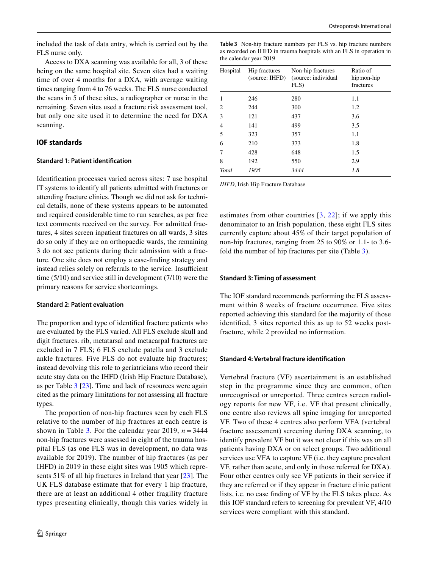included the task of data entry, which is carried out by the FLS nurse only.

Access to DXA scanning was available for all, 3 of these being on the same hospital site. Seven sites had a waiting time of over 4 months for a DXA, with average waiting times ranging from 4 to 76 weeks. The FLS nurse conducted the scans in 5 of these sites, a radiographer or nurse in the remaining. Seven sites used a fracture risk assessment tool, but only one site used it to determine the need for DXA scanning.

## **IOF standards**

#### **Standard 1: Patient identifcation**

Identifcation processes varied across sites: 7 use hospital IT systems to identify all patients admitted with fractures or attending fracture clinics. Though we did not ask for technical details, none of these systems appears to be automated and required considerable time to run searches, as per free text comments received on the survey. For admitted fractures, 4 sites screen inpatient fractures on all wards, 3 sites do so only if they are on orthopaedic wards, the remaining 3 do not see patients during their admission with a fracture. One site does not employ a case-fnding strategy and instead relies solely on referrals to the service. Insufficient time (5/10) and service still in development (7/10) were the primary reasons for service shortcomings.

#### **Standard 2: Patient evaluation**

The proportion and type of identifed fracture patients who are evaluated by the FLS varied. All FLS exclude skull and digit fractures. rib, metatarsal and metacarpal fractures are excluded in 7 FLS; 6 FLS exclude patella and 3 exclude ankle fractures. Five FLS do not evaluate hip fractures; instead devolving this role to geriatricians who record their acute stay data on the IHFD (Irish Hip Fracture Database), as per Table [3](#page-3-0) [\[23](#page-7-1)]. Time and lack of resources were again cited as the primary limitations for not assessing all fracture types.

The proportion of non-hip fractures seen by each FLS relative to the number of hip fractures at each centre is shown in Table [3](#page-3-0). For the calendar year 2019,  $n = 3444$ non-hip fractures were assessed in eight of the trauma hospital FLS (as one FLS was in development, no data was available for 2019). The number of hip fractures (as per IHFD) in 2019 in these eight sites was 1905 which represents 51% of all hip fractures in Ireland that year [[23](#page-7-1)]. The UK FLS database estimate that for every 1 hip fracture, there are at least an additional 4 other fragility fracture types presenting clinically, though this varies widely in <span id="page-3-0"></span>**Table 3** Non-hip fracture numbers per FLS vs. hip fracture numbers as recorded on IHFD in trauma hospitals with an FLS in operation in the calendar year 2019

| Hospital<br>Hip fractures<br>(source: IHFD) |      | Non-hip fractures<br>(source: individual)<br>FLS | Ratio of<br>hip:non-hip<br>fractures |  |  |
|---------------------------------------------|------|--------------------------------------------------|--------------------------------------|--|--|
| 1                                           | 246  | 280                                              | 1.1                                  |  |  |
| 2                                           | 244  | 300                                              | 1.2                                  |  |  |
| 3                                           | 121  | 437                                              | 3.6                                  |  |  |
| 4                                           | 141  | 499                                              | 3.5                                  |  |  |
| 5                                           | 323  | 357                                              | 1.1                                  |  |  |
| 6                                           | 210  | 373                                              | 1.8                                  |  |  |
| 7                                           | 428  | 648                                              | 1.5                                  |  |  |
| 8                                           | 192  | 550                                              | 2.9                                  |  |  |
| Total                                       | 1905 | 3444                                             | 1.8                                  |  |  |

*IHFD*, Irish Hip Fracture Database

estimates from other countries [[3](#page-6-2), [22\]](#page-7-0); if we apply this denominator to an Irish population, these eight FLS sites currently capture about 45% of their target population of non-hip fractures, ranging from 25 to 90% or 1.1- to 3.6 fold the number of hip fractures per site (Table [3](#page-3-0)).

#### **Standard 3: Timing of assessment**

The IOF standard recommends performing the FLS assessment within 8 weeks of fracture occurrence. Five sites reported achieving this standard for the majority of those identifed, 3 sites reported this as up to 52 weeks postfracture, while 2 provided no information.

#### **Standard 4: Vertebral fracture identifcation**

Vertebral fracture (VF) ascertainment is an established step in the programme since they are common, often unrecognised or unreported. Three centres screen radiology reports for new VF, i.e. VF that present clinically, one centre also reviews all spine imaging for unreported VF. Two of these 4 centres also perform VFA (vertebral fracture assessment) screening during DXA scanning, to identify prevalent VF but it was not clear if this was on all patients having DXA or on select groups. Two additional services use VFA to capture VF (i.e. they capture prevalent VF, rather than acute, and only in those referred for DXA). Four other centres only see VF patients in their service if they are referred or if they appear in fracture clinic patient lists, i.e. no case fnding of VF by the FLS takes place. As this IOF standard refers to screening for prevalent VF, 4/10 services were compliant with this standard.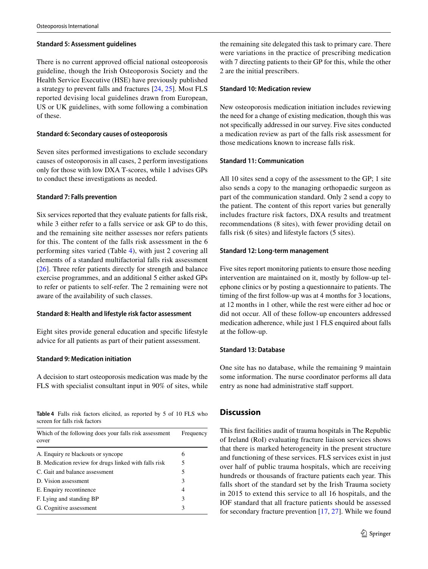#### **Standard 5: Assessment guidelines**

There is no current approved official national osteoporosis guideline, though the Irish Osteoporosis Society and the Health Service Executive (HSE) have previously published a strategy to prevent falls and fractures [\[24,](#page-7-2) [25\]](#page-7-3). Most FLS reported devising local guidelines drawn from European, US or UK guidelines, with some following a combination of these.

#### **Standard 6: Secondary causes of osteoporosis**

Seven sites performed investigations to exclude secondary causes of osteoporosis in all cases, 2 perform investigations only for those with low DXA T-scores, while 1 advises GPs to conduct these investigations as needed.

#### **Standard 7: Falls prevention**

Six services reported that they evaluate patients for falls risk, while 3 either refer to a falls service or ask GP to do this, and the remaining site neither assesses nor refers patients for this. The content of the falls risk assessment in the 6 performing sites varied (Table [4](#page-4-0)), with just 2 covering all elements of a standard multifactorial falls risk assessment [\[26\]](#page-7-4). Three refer patients directly for strength and balance exercise programmes, and an additional 5 either asked GPs to refer or patients to self-refer. The 2 remaining were not aware of the availability of such classes.

#### **Standard 8: Health and lifestyle risk factor assessment**

Eight sites provide general education and specifc lifestyle advice for all patients as part of their patient assessment.

#### **Standard 9: Medication initiation**

A decision to start osteoporosis medication was made by the FLS with specialist consultant input in 90% of sites, while

<span id="page-4-0"></span>

|                               |  |  | <b>Table 4</b> Falls risk factors elicited, as reported by 5 of 10 FLS who |  |  |  |
|-------------------------------|--|--|----------------------------------------------------------------------------|--|--|--|
| screen for falls risk factors |  |  |                                                                            |  |  |  |

| Which of the following does your falls risk assessment<br>cover | Frequency |  |  |
|-----------------------------------------------------------------|-----------|--|--|
| A. Enquiry re blackouts or syncope                              | 6         |  |  |
| B. Medication review for drugs linked with falls risk           | 5         |  |  |
| C. Gait and balance assessment                                  | 5         |  |  |
| D. Vision assessment                                            | 3         |  |  |
| E. Enquiry recontinence                                         | 4         |  |  |
| F. Lying and standing BP                                        | 3         |  |  |
| G. Cognitive assessment                                         | 3         |  |  |

the remaining site delegated this task to primary care. There were variations in the practice of prescribing medication with 7 directing patients to their GP for this, while the other 2 are the initial prescribers.

#### **Standard 10: Medication review**

New osteoporosis medication initiation includes reviewing the need for a change of existing medication, though this was not specifcally addressed in our survey. Five sites conducted a medication review as part of the falls risk assessment for those medications known to increase falls risk.

#### **Standard 11: Communication**

All 10 sites send a copy of the assessment to the GP; 1 site also sends a copy to the managing orthopaedic surgeon as part of the communication standard. Only 2 send a copy to the patient. The content of this report varies but generally includes fracture risk factors, DXA results and treatment recommendations (8 sites), with fewer providing detail on falls risk (6 sites) and lifestyle factors (5 sites).

#### **Standard 12: Long‑term management**

Five sites report monitoring patients to ensure those needing intervention are maintained on it, mostly by follow-up telephone clinics or by posting a questionnaire to patients. The timing of the frst follow-up was at 4 months for 3 locations, at 12 months in 1 other, while the rest were either ad hoc or did not occur. All of these follow-up encounters addressed medication adherence, while just 1 FLS enquired about falls at the follow-up.

#### **Standard 13: Database**

One site has no database, while the remaining 9 maintain some information. The nurse coordinator performs all data entry as none had administrative staff support.

# **Discussion**

This frst facilities audit of trauma hospitals in The Republic of Ireland (RoI) evaluating fracture liaison services shows that there is marked heterogeneity in the present structure and functioning of these services. FLS services exist in just over half of public trauma hospitals, which are receiving hundreds or thousands of fracture patients each year. This falls short of the standard set by the Irish Trauma society in 2015 to extend this service to all 16 hospitals, and the IOF standard that all fracture patients should be assessed for secondary fracture prevention [\[17](#page-6-13), [27](#page-7-5)]. While we found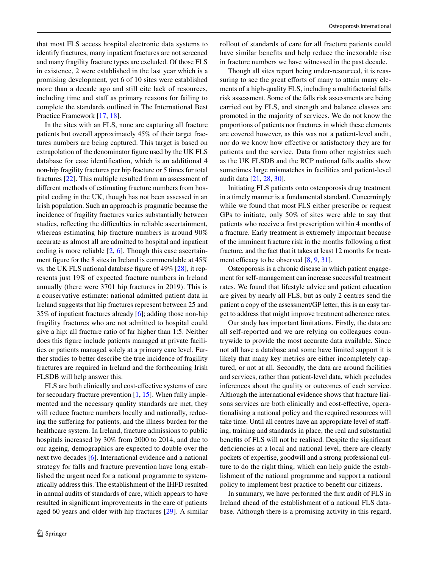that most FLS access hospital electronic data systems to identify fractures, many inpatient fractures are not screened and many fragility fracture types are excluded. Of those FLS in existence, 2 were established in the last year which is a promising development, yet 6 of 10 sites were established more than a decade ago and still cite lack of resources, including time and staff as primary reasons for failing to complete the standards outlined in The International Best Practice Framework [[17,](#page-6-13) [18](#page-6-14)].

In the sites with an FLS, none are capturing all fracture patients but overall approximately 45% of their target fractures numbers are being captured. This target is based on extrapolation of the denominator fgure used by the UK FLS database for case identifcation, which is an additional 4 non-hip fragility fractures per hip fracture or 5 times for total fractures [[22\]](#page-7-0). This multiple resulted from an assessment of diferent methods of estimating fracture numbers from hospital coding in the UK, though has not been assessed in an Irish population. Such an approach is pragmatic because the incidence of fragility fractures varies substantially between studies, reflecting the difficulties in reliable ascertainment, whereas estimating hip fracture numbers is around 90% accurate as almost all are admitted to hospital and inpatient coding is more reliable [[2](#page-6-16), [6\]](#page-6-17). Though this case ascertainment fgure for the 8 sites in Ireland is commendable at 45% vs. the UK FLS national database fgure of 49% [[28\]](#page-7-6), it represents just 19% of expected fracture numbers in Ireland annually (there were 3701 hip fractures in 2019). This is a conservative estimate: national admitted patient data in Ireland suggests that hip fractures represent between 25 and 35% of inpatient fractures already [\[6](#page-6-17)]; adding those non-hip fragility fractures who are not admitted to hospital could give a hip: all fracture ratio of far higher than 1:5. Neither does this fgure include patients managed at private facilities or patients managed solely at a primary care level. Further studies to better describe the true incidence of fragility fractures are required in Ireland and the forthcoming Irish FLSDB will help answer this.

FLS are both clinically and cost-efective systems of care for secondary fracture prevention [\[1](#page-6-0), [15](#page-6-11)]. When fully implemented and the necessary quality standards are met, they will reduce fracture numbers locally and nationally, reducing the sufering for patients, and the illness burden for the healthcare system. In Ireland, fracture admissions to public hospitals increased by 30% from 2000 to 2014, and due to our ageing, demographics are expected to double over the next two decades [\[6](#page-6-17)]. International evidence and a national strategy for falls and fracture prevention have long established the urgent need for a national programme to systematically address this. The establishment of the IHFD resulted in annual audits of standards of care, which appears to have resulted in signifcant improvements in the care of patients aged 60 years and older with hip fractures [\[29\]](#page-7-7). A similar rollout of standards of care for all fracture patients could have similar benefts and help reduce the inexorable rise in fracture numbers we have witnessed in the past decade.

Though all sites report being under-resourced, it is reassuring to see the great efforts of many to attain many elements of a high-quality FLS, including a multifactorial falls risk assessment. Some of the falls risk assessments are being carried out by FLS, and strength and balance classes are promoted in the majority of services. We do not know the proportions of patients nor fractures in which these elements are covered however, as this was not a patient-level audit, nor do we know how efective or satisfactory they are for patients and the service. Data from other registries such as the UK FLSDB and the RCP national falls audits show sometimes large mismatches in facilities and patient-level audit data [[21,](#page-7-8) [28,](#page-7-6) [30\]](#page-7-9).

Initiating FLS patients onto osteoporosis drug treatment in a timely manner is a fundamental standard. Concerningly while we found that most FLS either prescribe or request GPs to initiate, only 50% of sites were able to say that patients who receive a frst prescription within 4 months of a fracture. Early treatment is extremely important because of the imminent fracture risk in the months following a frst fracture, and the fact that it takes at least 12 months for treatment efficacy to be observed  $[8, 9, 31]$  $[8, 9, 31]$  $[8, 9, 31]$  $[8, 9, 31]$  $[8, 9, 31]$  $[8, 9, 31]$ .

Osteoporosis is a chronic disease in which patient engagement for self-management can increase successful treatment rates. We found that lifestyle advice and patient education are given by nearly all FLS, but as only 2 centres send the patient a copy of the assessment/GP letter, this is an easy target to address that might improve treatment adherence rates.

Our study has important limitations. Firstly, the data are all self-reported and we are relying on colleagues countrywide to provide the most accurate data available. Since not all have a database and some have limited support it is likely that many key metrics are either incompletely captured, or not at all. Secondly, the data are around facilities and services, rather than patient-level data, which precludes inferences about the quality or outcomes of each service. Although the international evidence shows that fracture liaisons services are both clinically and cost-efective, operationalising a national policy and the required resources will take time. Until all centres have an appropriate level of stafing, training and standards in place, the real and substantial benefts of FLS will not be realised. Despite the signifcant defciencies at a local and national level, there are clearly pockets of expertise, goodwill and a strong professional culture to do the right thing, which can help guide the establishment of the national programme and support a national policy to implement best practice to beneft our citizens.

In summary, we have performed the frst audit of FLS in Ireland ahead of the establishment of a national FLS database. Although there is a promising activity in this regard,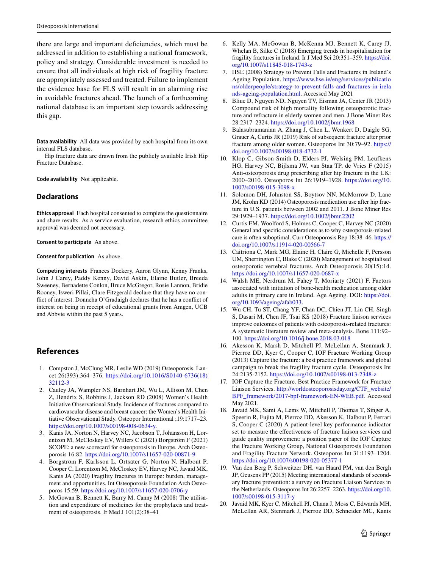there are large and important defciencies, which must be addressed in addition to establishing a national framework, policy and strategy. Considerable investment is needed to ensure that all individuals at high risk of fragility fracture are appropriately assessed and treated. Failure to implement the evidence base for FLS will result in an alarming rise in avoidable fractures ahead. The launch of a forthcoming national database is an important step towards addressing this gap.

**Data availability** All data was provided by each hospital from its own internal FLS database.

Hip fracture data are drawn from the publicly available Irish Hip Fracture Database.

**Code availability** Not applicable.

# **Declarations**

**Ethics approval** Each hospital consented to complete the questionnaire and share results. As a service evaluation, research ethics committee approval was deemed not necessary.

**Consent to participate** As above.

**Consent for publication** As above.

**Competing interests** Frances Dockery, Aaron Glynn, Kenny Franks, John J Carey, Paddy Kenny, David Askin, Elaine Butler, Breeda Sweeney, Bernadette Conlon, Bruce McGregor, Rosie Lannon, Bridie Rooney, Isweri Pillai, Clare Fitzgerald declare that they have no confict of interest. Donncha O'Gradaigh declares that he has a confict of interest on being in receipt of educational grants from Amgen, UCB and Abbvie within the past 5 years.

# **References**

- <span id="page-6-0"></span>1. Compston J, McClung MR, Leslie WD (2019) Osteoporosis. Lancet 26(393):364–376. [https://doi.org/10.1016/S0140-6736\(18\)](https://doi.org/10.1016/S0140-6736(18)32112-3) [32112-3](https://doi.org/10.1016/S0140-6736(18)32112-3)
- <span id="page-6-16"></span>2. Cauley JA, Wampler NS, Barnhart JM, Wu L, Allison M, Chen Z, Hendrix S, Robbins J, Jackson RD (2008) Women's Health Initiative Observational Study. Incidence of fractures compared to cardiovascular disease and breast cancer: the Women's Health Initiative Observational Study. Osteopor International ;19:1717–23. <https://doi.org/10.1007/s00198-008-0634-y>.
- <span id="page-6-2"></span>3. Kanis JA, Norton N, Harvey NC, Jacobson T, Johansson H, Lorentzon M, McCloskey EV, Willers C (2021) Borgström F (2021) SCOPE: a new scorecard for osteoporosis in Europe. Arch Osteoporosis 16:82. <https://doi.org/10.1007/s11657-020-00871-9>
- <span id="page-6-1"></span>4. Borgström F, Karlsson L, Ortsäter G, Norton N, Halbout P, Cooper C, Lorentzon M, McCloskey EV, Harvey NC, Javaid MK, Kanis JA (2020) Fragility fractures in Europe: burden, management and opportunities. Int Osteoporosis Foundation Arch Osteoporos 15:59.<https://doi.org/10.1007/s11657-020-0706-y>
- <span id="page-6-3"></span>5. McGowan B, Bennett K, Barry M, Canny M (2008) The utilisation and expenditure of medicines for the prophylaxis and treatment of osteoporosis. Ir Med J 101(2):38–41
- <span id="page-6-17"></span>6. Kelly MA, McGowan B, McKenna MJ, Bennett K, Carey JJ, Whelan B, Silke C (2018) Emerging trends in hospitalisation for fragility fractures in Ireland. Ir J Med Sci 20:351–359. [https://doi.](https://doi.org/10.1007/s11845-018-1743-z) [org/10.1007/s11845-018-1743-z](https://doi.org/10.1007/s11845-018-1743-z)
- <span id="page-6-4"></span>7. HSE (2008) Strategy to Prevent Falls and Fractures in Ireland's Ageing Population. [https://www.hse.ie/eng/services/publicatio](https://www.hse.ie/eng/services/publications/olderpeople/strategy-to-prevent-falls-and-fractures-in-irelands-ageing-population.html) [ns/olderpeople/strategy-to-prevent-falls-and-fractures-in-irela](https://www.hse.ie/eng/services/publications/olderpeople/strategy-to-prevent-falls-and-fractures-in-irelands-ageing-population.html) [nds-ageing-population.html](https://www.hse.ie/eng/services/publications/olderpeople/strategy-to-prevent-falls-and-fractures-in-irelands-ageing-population.html). Accessed May 2021
- <span id="page-6-5"></span>8. Bliuc D, Nguyen ND, Nguyen TV, Eisman JA, Center JR (2013) Compound risk of high mortality following osteoporotic fracture and refracture in elderly women and men. J Bone Miner Res 28:2317–2324.<https://doi.org/10.1002/jbmr.1968>
- <span id="page-6-6"></span>9. Balasubramanian A, Zhang J, Chen L, Wenkert D, Daigle SG, Grauer A, Curtis JR (2019) Risk of subsequent fracture after prior fracture among older women. Osteoporos Int 30:79–92. [https://](https://doi.org/10.1007/s00198-018-4732-1) [doi.org/10.1007/s00198-018-4732-1](https://doi.org/10.1007/s00198-018-4732-1)
- <span id="page-6-7"></span>10. Klop C, Gibson-Smith D, Elders PJ, Welsing PM, Leufkens HG, Harvey NC, Bijlsma JW, van Staa TP, de Vries F (2015) Anti-osteoporosis drug prescribing after hip fracture in the UK: 2000–2010. Osteoporos Int 26:1919–1928. [https://doi.org/10.](https://doi.org/10.1007/s00198-015-3098-x) [1007/s00198-015-3098-x](https://doi.org/10.1007/s00198-015-3098-x)
- 11. Solomon DH, Johnston SS, Boytsov NN, McMorrow D, Lane JM, Krohn KD (2014) Osteoporosis medication use after hip fracture in U.S. patients between 2002 and 2011. J Bone Miner Res 29:1929–1937.<https://doi.org/10.1002/jbmr.2202>
- <span id="page-6-8"></span>12. Curtis EM, Woolford S, Holmes C, Cooper C, Harvey NC (2020) General and specifc considerations as to why osteoporosis-related care is often suboptimal. Curr Osteoporosis Rep 18:38–46. [https://](https://doi.org/10.1007/s11914-020-00566-7) [doi.org/10.1007/s11914-020-00566-7](https://doi.org/10.1007/s11914-020-00566-7)
- <span id="page-6-9"></span>13. Caitriona C, Mark MG, Elaine H, Claire G, Michelle F, Persson UM, Sherrington C, Blake C (2020) Management of hospitalised osteoporotic vertebral fractures. Arch Osteoporosis 20(15):14. <https://doi.org/10.1007/s11657-020-0687-x>
- <span id="page-6-10"></span>14. Walsh ME, Nerdrum M, Fahey T, Moriarty (2021) F. Factors associated with initiation of bone-health medication among older adults in primary care in Ireland. Age Ageing. DOI: [https://doi.](https://doi.org/10.1093/ageing/afab033) [org/10.1093/ageing/afab033.](https://doi.org/10.1093/ageing/afab033)
- <span id="page-6-11"></span>15. Wu CH, Tu ST, Chang YF, Chan DC, Chien JT, Lin CH, Singh S, Dasari M, Chen JF, Tsai KS (2018) Fracture liaison services improve outcomes of patients with osteoporosis-related fractures: A systematic literature review and meta-analysis. Bone 111:92– 100.<https://doi.org/10.1016/j.bone.2018.03.018>
- <span id="page-6-12"></span>16. Akesson K, Marsh D, Mitchell PJ, McLellan A, Stenmark J, Pierroz DD, Kyer C, Cooper C, IOF Fracture Working Group (2013) Capture the fracture: a best practice framework and global campaign to break the fragility fracture cycle. Osteoporosis Int 24:2135-2152. <https://doi.org/10.1007/s00198-013-2348-z>
- <span id="page-6-13"></span>17. IOF Capture the Fracture. Best Practice Framework for Fracture Liaison Services. [http://worldosteoporosisday.org/CTF\\_website/](http://worldosteoporosisday.org/CTF_website/BPF_framework/2017-bpf-framework-EN-WEB.pdf) [BPF\\_framework/2017-bpf-framework-EN-WEB.pdf.](http://worldosteoporosisday.org/CTF_website/BPF_framework/2017-bpf-framework-EN-WEB.pdf) Accessed May 2021.
- <span id="page-6-14"></span>18. Javaid MK, Sami A, Lems W, Mitchell P, Thomas T, Singer A, Speerin R, Fujita M, Pierroz DD, Akesson K, Halbout P, Ferrari S, Cooper C (2020) A patient-level key performance indicator set to measure the efectiveness of fracture liaison services and guide quality improvement: a position paper of the IOF Capture the Fracture Working Group, National Osteoporosis Foundation and Fragility Fracture Network. Osteoporos Int 31:1193–1204. <https://doi.org/10.1007/s00198-020-05377-1>
- <span id="page-6-15"></span>19. Van den Berg P, Schweitzer DH, van Haard PM, van den Bergh JP, Geusens PP (2015) Meeting international standards of secondary fracture prevention: a survey on Fracture Liaison Services in the Netherlands. Osteoporos Int 26:2257–2263. [https://doi.org/10.](https://doi.org/10.1007/s00198-015-3117-y) [1007/s00198-015-3117-y](https://doi.org/10.1007/s00198-015-3117-y)
- 20. Javaid MK, Kyer C, Mitchell PJ, Chana J, Moss C, Edwards MH, McLellan AR, Stenmark J, Pierroz DD, Schneider MC, Kanis